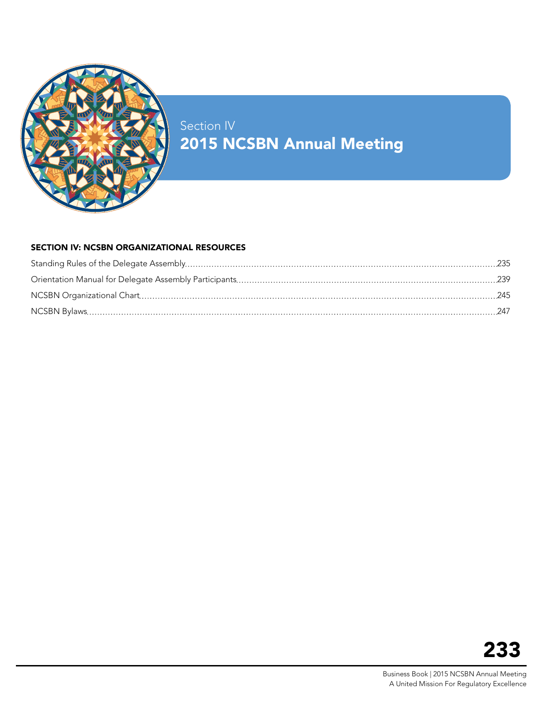

### Section IV 2015 NCSBN Annual Meeting

# **SECTION IV: NCSBN ORGANIZATIONAL RESOURCES**

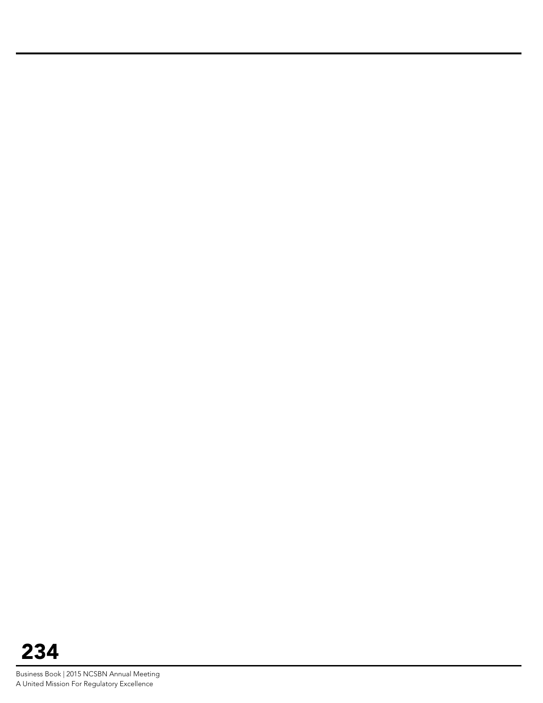# 234

Business Book | 2015 NCSBN Annual Meeting A United Mission For Regulatory Excellence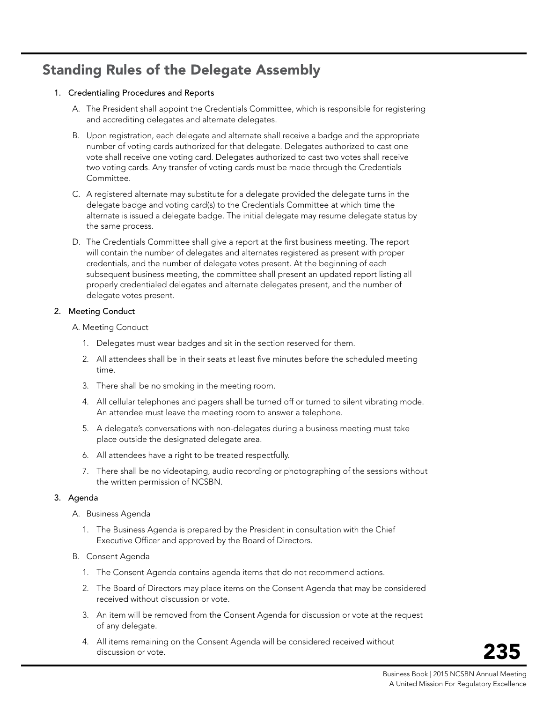# <span id="page-2-0"></span>Standing Rules of the Delegate Assembly

#### 1. Credentialing Procedures and Reports

- A. The President shall appoint the Credentials Committee, which is responsible for registering and accrediting delegates and alternate delegates.
- B. Upon registration, each delegate and alternate shall receive a badge and the appropriate number of voting cards authorized for that delegate. Delegates authorized to cast one vote shall receive one voting card. Delegates authorized to cast two votes shall receive two voting cards. Any transfer of voting cards must be made through the Credentials Committee.
- C. A registered alternate may substitute for a delegate provided the delegate turns in the delegate badge and voting card(s) to the Credentials Committee at which time the alternate is issued a delegate badge. The initial delegate may resume delegate status by the same process.
- D. The Credentials Committee shall give a report at the first business meeting. The report will contain the number of delegates and alternates registered as present with proper credentials, and the number of delegate votes present. At the beginning of each subsequent business meeting, the committee shall present an updated report listing all properly credentialed delegates and alternate delegates present, and the number of delegate votes present.

#### 2. Meeting Conduct

A. Meeting Conduct

- 1. Delegates must wear badges and sit in the section reserved for them.
- 2. All attendees shall be in their seats at least five minutes before the scheduled meeting time.
- 3. There shall be no smoking in the meeting room.
- 4. All cellular telephones and pagers shall be turned off or turned to silent vibrating mode. An attendee must leave the meeting room to answer a telephone.
- 5. A delegate's conversations with non-delegates during a business meeting must take place outside the designated delegate area.
- 6. All attendees have a right to be treated respectfully.
- 7. There shall be no videotaping, audio recording or photographing of the sessions without the written permission of NCSBN.

#### 3. Agenda

- A. Business Agenda
	- 1. The Business Agenda is prepared by the President in consultation with the Chief Executive Officer and approved by the Board of Directors.
- B. Consent Agenda
	- 1. The Consent Agenda contains agenda items that do not recommend actions.
	- 2. The Board of Directors may place items on the Consent Agenda that may be considered received without discussion or vote.
	- 3. An item will be removed from the Consent Agenda for discussion or vote at the request of any delegate.
	- 4. All items remaining on the Consent Agenda will be considered received without discussion or vote.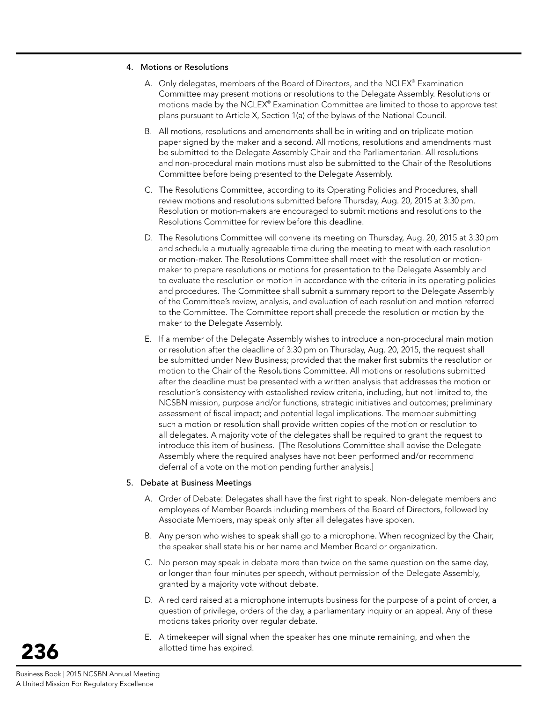#### 4. Motions or Resolutions

- A. Only delegates, members of the Board of Directors, and the NCLEX® Examination Committee may present motions or resolutions to the Delegate Assembly. Resolutions or motions made by the NCLEX® Examination Committee are limited to those to approve test plans pursuant to Article X, Section 1(a) of the bylaws of the National Council.
- B. All motions, resolutions and amendments shall be in writing and on triplicate motion paper signed by the maker and a second. All motions, resolutions and amendments must be submitted to the Delegate Assembly Chair and the Parliamentarian. All resolutions and non-procedural main motions must also be submitted to the Chair of the Resolutions Committee before being presented to the Delegate Assembly.
- C. The Resolutions Committee, according to its Operating Policies and Procedures, shall review motions and resolutions submitted before Thursday, Aug. 20, 2015 at 3:30 pm. Resolution or motion-makers are encouraged to submit motions and resolutions to the Resolutions Committee for review before this deadline.
- D. The Resolutions Committee will convene its meeting on Thursday, Aug. 20, 2015 at 3:30 pm and schedule a mutually agreeable time during the meeting to meet with each resolution or motion-maker. The Resolutions Committee shall meet with the resolution or motionmaker to prepare resolutions or motions for presentation to the Delegate Assembly and to evaluate the resolution or motion in accordance with the criteria in its operating policies and procedures. The Committee shall submit a summary report to the Delegate Assembly of the Committee's review, analysis, and evaluation of each resolution and motion referred to the Committee. The Committee report shall precede the resolution or motion by the maker to the Delegate Assembly.
- E. If a member of the Delegate Assembly wishes to introduce a non-procedural main motion or resolution after the deadline of 3:30 pm on Thursday, Aug. 20, 2015, the request shall be submitted under New Business; provided that the maker first submits the resolution or motion to the Chair of the Resolutions Committee. All motions or resolutions submitted after the deadline must be presented with a written analysis that addresses the motion or resolution's consistency with established review criteria, including, but not limited to, the NCSBN mission, purpose and/or functions, strategic initiatives and outcomes; preliminary assessment of fiscal impact; and potential legal implications. The member submitting such a motion or resolution shall provide written copies of the motion or resolution to all delegates. A majority vote of the delegates shall be required to grant the request to introduce this item of business. [The Resolutions Committee shall advise the Delegate Assembly where the required analyses have not been performed and/or recommend deferral of a vote on the motion pending further analysis.]

#### 5. Debate at Business Meetings

- A. Order of Debate: Delegates shall have the first right to speak. Non-delegate members and employees of Member Boards including members of the Board of Directors, followed by Associate Members, may speak only after all delegates have spoken.
- B. Any person who wishes to speak shall go to a microphone. When recognized by the Chair, the speaker shall state his or her name and Member Board or organization.
- C. No person may speak in debate more than twice on the same question on the same day, or longer than four minutes per speech, without permission of the Delegate Assembly, granted by a majority vote without debate.
- D. A red card raised at a microphone interrupts business for the purpose of a point of order, a question of privilege, orders of the day, a parliamentary inquiry or an appeal. Any of these motions takes priority over regular debate.
- E. A timekeeper will signal when the speaker has one minute remaining, and when the allotted time has expired.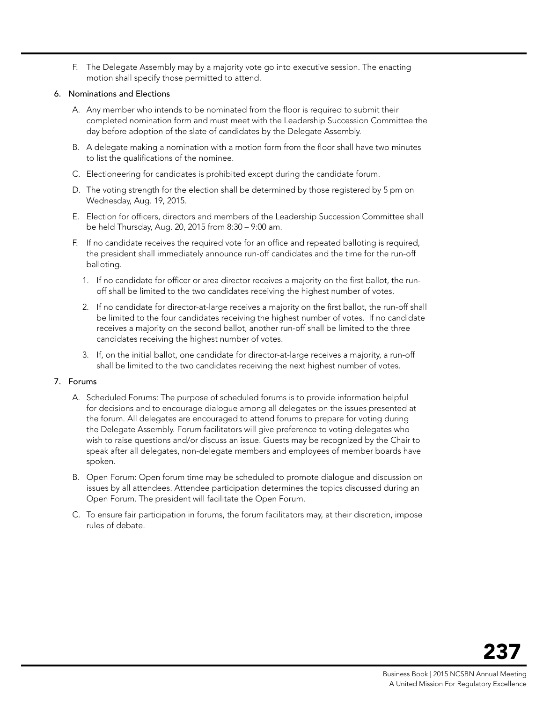F. The Delegate Assembly may by a majority vote go into executive session. The enacting motion shall specify those permitted to attend.

#### 6. Nominations and Elections

- A. Any member who intends to be nominated from the floor is required to submit their completed nomination form and must meet with the Leadership Succession Committee the day before adoption of the slate of candidates by the Delegate Assembly.
- B. A delegate making a nomination with a motion form from the floor shall have two minutes to list the qualifications of the nominee.
- C. Electioneering for candidates is prohibited except during the candidate forum.
- D. The voting strength for the election shall be determined by those registered by 5 pm on Wednesday, Aug. 19, 2015.
- E. Election for officers, directors and members of the Leadership Succession Committee shall be held Thursday, Aug. 20, 2015 from 8:30 – 9:00 am.
- F. If no candidate receives the required vote for an office and repeated balloting is required, the president shall immediately announce run-off candidates and the time for the run-off balloting.
	- 1. If no candidate for officer or area director receives a majority on the first ballot, the runoff shall be limited to the two candidates receiving the highest number of votes.
	- 2. If no candidate for director-at-large receives a majority on the first ballot, the run-off shall be limited to the four candidates receiving the highest number of votes. If no candidate receives a majority on the second ballot, another run-off shall be limited to the three candidates receiving the highest number of votes.
	- 3. If, on the initial ballot, one candidate for director-at-large receives a majority, a run-off shall be limited to the two candidates receiving the next highest number of votes.

#### 7. Forums

- A. Scheduled Forums: The purpose of scheduled forums is to provide information helpful for decisions and to encourage dialogue among all delegates on the issues presented at the forum. All delegates are encouraged to attend forums to prepare for voting during the Delegate Assembly. Forum facilitators will give preference to voting delegates who wish to raise questions and/or discuss an issue. Guests may be recognized by the Chair to speak after all delegates, non-delegate members and employees of member boards have spoken.
- B. Open Forum: Open forum time may be scheduled to promote dialogue and discussion on issues by all attendees. Attendee participation determines the topics discussed during an Open Forum. The president will facilitate the Open Forum.
- C. To ensure fair participation in forums, the forum facilitators may, at their discretion, impose rules of debate.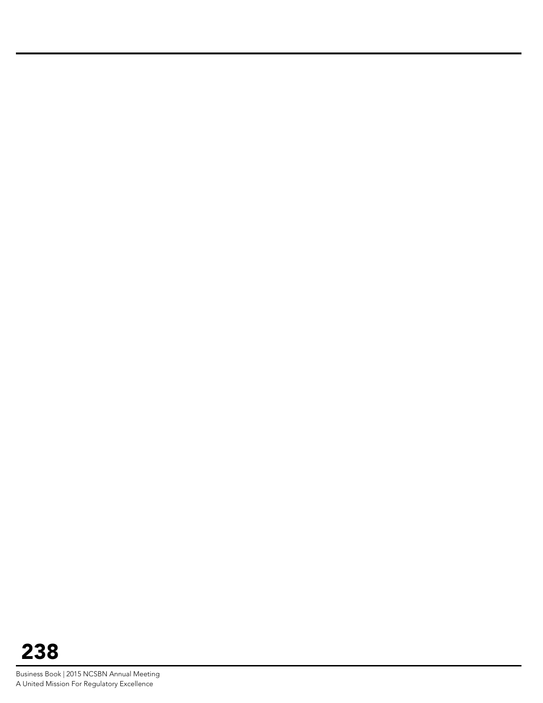# 238

Business Book | 2015 NCSBN Annual Meeting A United Mission For Regulatory Excellence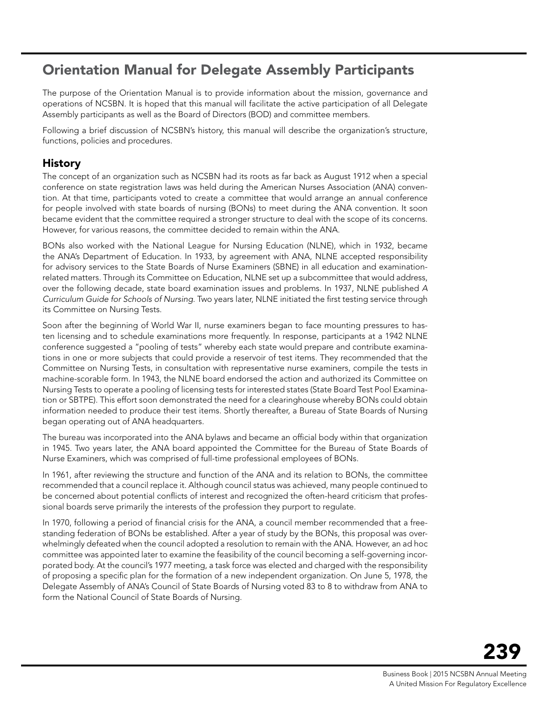# <span id="page-6-0"></span>Orientation Manual for Delegate Assembly Participants

The purpose of the Orientation Manual is to provide information about the mission, governance and operations of NCSBN. It is hoped that this manual will facilitate the active participation of all Delegate Assembly participants as well as the Board of Directors (BOD) and committee members.

Following a brief discussion of NCSBN's history, this manual will describe the organization's structure, functions, policies and procedures.

#### History

The concept of an organization such as NCSBN had its roots as far back as August 1912 when a special conference on state registration laws was held during the American Nurses Association (ANA) convention. At that time, participants voted to create a committee that would arrange an annual conference for people involved with state boards of nursing (BONs) to meet during the ANA convention. It soon became evident that the committee required a stronger structure to deal with the scope of its concerns. However, for various reasons, the committee decided to remain within the ANA.

BONs also worked with the National League for Nursing Education (NLNE), which in 1932, became the ANA's Department of Education. In 1933, by agreement with ANA, NLNE accepted responsibility for advisory services to the State Boards of Nurse Examiners (SBNE) in all education and examinationrelated matters. Through its Committee on Education, NLNE set up a subcommittee that would address, over the following decade, state board examination issues and problems. In 1937, NLNE published *A Curriculum Guide for Schools of Nursing*. Two years later, NLNE initiated the first testing service through its Committee on Nursing Tests.

Soon after the beginning of World War II, nurse examiners began to face mounting pressures to hasten licensing and to schedule examinations more frequently. In response, participants at a 1942 NLNE conference suggested a "pooling of tests" whereby each state would prepare and contribute examinations in one or more subjects that could provide a reservoir of test items. They recommended that the Committee on Nursing Tests, in consultation with representative nurse examiners, compile the tests in machine-scorable form. In 1943, the NLNE board endorsed the action and authorized its Committee on Nursing Tests to operate a pooling of licensing tests for interested states (State Board Test Pool Examination or SBTPE). This effort soon demonstrated the need for a clearinghouse whereby BONs could obtain information needed to produce their test items. Shortly thereafter, a Bureau of State Boards of Nursing began operating out of ANA headquarters.

The bureau was incorporated into the ANA bylaws and became an official body within that organization in 1945. Two years later, the ANA board appointed the Committee for the Bureau of State Boards of Nurse Examiners, which was comprised of full-time professional employees of BONs.

In 1961, after reviewing the structure and function of the ANA and its relation to BONs, the committee recommended that a council replace it. Although council status was achieved, many people continued to be concerned about potential conflicts of interest and recognized the often-heard criticism that professional boards serve primarily the interests of the profession they purport to regulate.

In 1970, following a period of financial crisis for the ANA, a council member recommended that a freestanding federation of BONs be established. After a year of study by the BONs, this proposal was overwhelmingly defeated when the council adopted a resolution to remain with the ANA. However, an ad hoc committee was appointed later to examine the feasibility of the council becoming a self-governing incorporated body. At the council's 1977 meeting, a task force was elected and charged with the responsibility of proposing a specific plan for the formation of a new independent organization. On June 5, 1978, the Delegate Assembly of ANA's Council of State Boards of Nursing voted 83 to 8 to withdraw from ANA to form the National Council of State Boards of Nursing.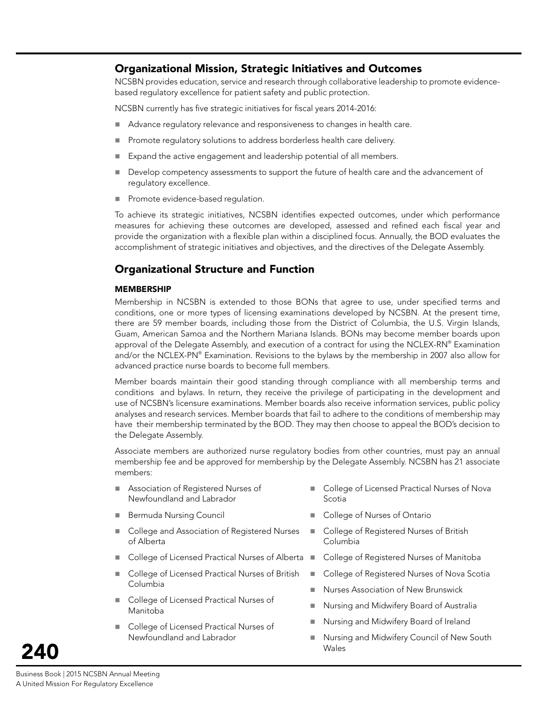#### Organizational Mission, Strategic Initiatives and Outcomes

NCSBN provides education, service and research through collaborative leadership to promote evidencebased regulatory excellence for patient safety and public protection.

NCSBN currently has five strategic initiatives for fiscal years 2014-2016:

- Advance regulatory relevance and responsiveness to changes in health care.
- Promote regulatory solutions to address borderless health care delivery.
- Expand the active engagement and leadership potential of all members.
- Develop competency assessments to support the future of health care and the advancement of regulatory excellence.
- Promote evidence-based requlation.

To achieve its strategic initiatives, NCSBN identifies expected outcomes, under which performance measures for achieving these outcomes are developed, assessed and refined each fiscal year and provide the organization with a flexible plan within a disciplined focus. Annually, the BOD evaluates the accomplishment of strategic initiatives and objectives, and the directives of the Delegate Assembly.

#### Organizational Structure and Function

#### **MEMBERSHIP**

Membership in NCSBN is extended to those BONs that agree to use, under specified terms and conditions, one or more types of licensing examinations developed by NCSBN. At the present time, there are 59 member boards, including those from the District of Columbia, the U.S. Virgin Islands, Guam, American Samoa and the Northern Mariana Islands. BONs may become member boards upon approval of the Delegate Assembly, and execution of a contract for using the NCLEX-RN® Examination and/or the NCLEX-PN® Examination. Revisions to the bylaws by the membership in 2007 also allow for advanced practice nurse boards to become full members.

Member boards maintain their good standing through compliance with all membership terms and conditions and bylaws. In return, they receive the privilege of participating in the development and use of NCSBN's licensure examinations. Member boards also receive information services, public policy analyses and research services. Member boards that fail to adhere to the conditions of membership may have their membership terminated by the BOD. They may then choose to appeal the BOD's decision to the Delegate Assembly.

Associate members are authorized nurse regulatory bodies from other countries, must pay an annual membership fee and be approved for membership by the Delegate Assembly. NCSBN has 21 associate members:

- Association of Registered Nurses of Newfoundland and Labrador
- Bermuda Nursing Council
- College and Association of Registered Nurses of Alberta
- College of Licensed Practical Nurses of Alberta
- College of Licensed Practical Nurses of British Columbia
- College of Licensed Practical Nurses of Manitoba
- College of Licensed Practical Nurses of Newfoundland and Labrador
- College of Licensed Practical Nurses of Nova Scotia
- College of Nurses of Ontario
- College of Registered Nurses of British Columbia
- College of Registered Nurses of Manitoba
- College of Registered Nurses of Nova Scotia
- Nurses Association of New Brunswick
- Nursing and Midwifery Board of Australia
- Nursing and Midwifery Board of Ireland
- Nursing and Midwifery Council of New South **Wales**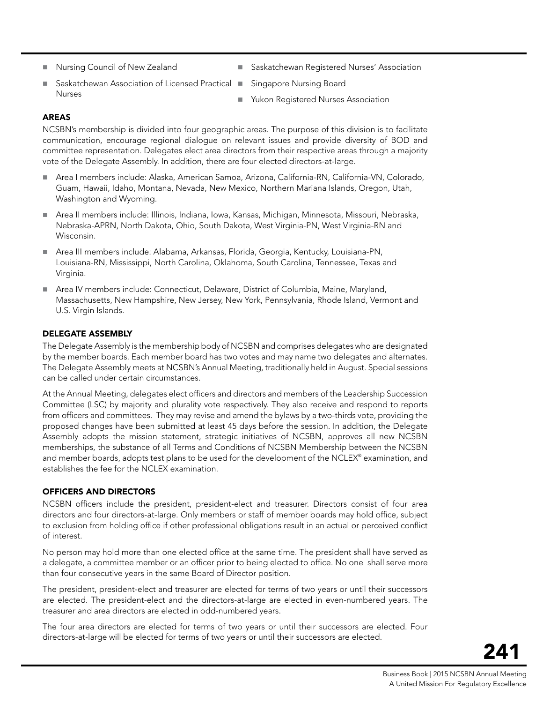- Nursing Council of New Zealand
- Saskatchewan Registered Nurses' Association
- Saskatchewan Association of Licensed Practical Singapore Nursing Board Nurses
- - Yukon Registered Nurses Association

#### AREAS

NCSBN's membership is divided into four geographic areas. The purpose of this division is to facilitate communication, encourage regional dialogue on relevant issues and provide diversity of BOD and committee representation. Delegates elect area directors from their respective areas through a majority vote of the Delegate Assembly. In addition, there are four elected directors-at-large.

- Area I members include: Alaska, American Samoa, Arizona, California-RN, California-VN, Colorado, Guam, Hawaii, Idaho, Montana, Nevada, New Mexico, Northern Mariana Islands, Oregon, Utah, Washington and Wyoming.
- Area II members include: Illinois, Indiana, Iowa, Kansas, Michigan, Minnesota, Missouri, Nebraska, Nebraska-APRN, North Dakota, Ohio, South Dakota, West Virginia-PN, West Virginia-RN and Wisconsin.
- Area III members include: Alabama, Arkansas, Florida, Georgia, Kentucky, Louisiana-PN, Louisiana-RN, Mississippi, North Carolina, Oklahoma, South Carolina, Tennessee, Texas and Virginia.
- Area IV members include: Connecticut, Delaware, District of Columbia, Maine, Maryland, Massachusetts, New Hampshire, New Jersey, New York, Pennsylvania, Rhode Island, Vermont and U.S. Virgin Islands.

#### DELEGATE ASSEMBLY

The Delegate Assembly is the membership body of NCSBN and comprises delegates who are designated by the member boards. Each member board has two votes and may name two delegates and alternates. The Delegate Assembly meets at NCSBN's Annual Meeting, traditionally held in August. Special sessions can be called under certain circumstances.

At the Annual Meeting, delegates elect officers and directors and members of the Leadership Succession Committee (LSC) by majority and plurality vote respectively. They also receive and respond to reports from officers and committees. They may revise and amend the bylaws by a two-thirds vote, providing the proposed changes have been submitted at least 45 days before the session. In addition, the Delegate Assembly adopts the mission statement, strategic initiatives of NCSBN, approves all new NCSBN memberships, the substance of all Terms and Conditions of NCSBN Membership between the NCSBN and member boards, adopts test plans to be used for the development of the NCLEX® examination, and establishes the fee for the NCLEX examination.

#### OFFICERS AND DIRECTORS

NCSBN officers include the president, president-elect and treasurer. Directors consist of four area directors and four directors-at-large. Only members or staff of member boards may hold office, subject to exclusion from holding office if other professional obligations result in an actual or perceived conflict of interest.

No person may hold more than one elected office at the same time. The president shall have served as a delegate, a committee member or an officer prior to being elected to office. No one shall serve more than four consecutive years in the same Board of Director position.

The president, president-elect and treasurer are elected for terms of two years or until their successors are elected. The president-elect and the directors-at-large are elected in even-numbered years. The treasurer and area directors are elected in odd-numbered years.

The four area directors are elected for terms of two years or until their successors are elected. Four directors-at-large will be elected for terms of two years or until their successors are elected.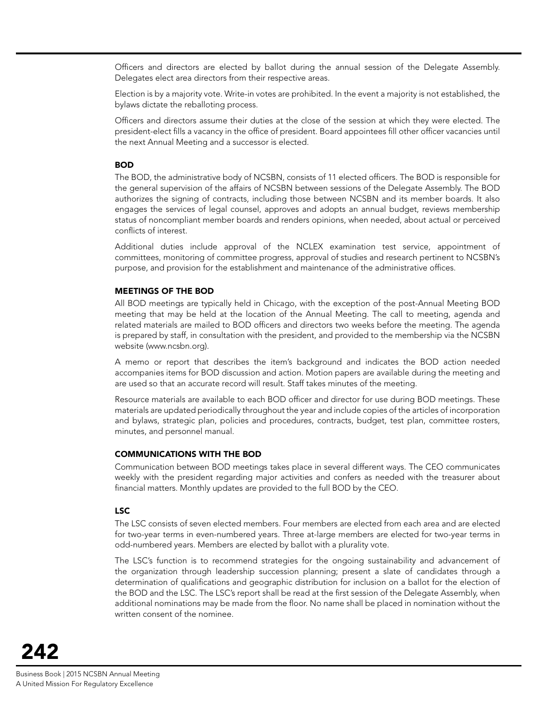Officers and directors are elected by ballot during the annual session of the Delegate Assembly. Delegates elect area directors from their respective areas.

Election is by a majority vote. Write-in votes are prohibited. In the event a majority is not established, the bylaws dictate the reballoting process.

Officers and directors assume their duties at the close of the session at which they were elected. The president-elect fills a vacancy in the office of president. Board appointees fill other officer vacancies until the next Annual Meeting and a successor is elected.

#### BOD

The BOD, the administrative body of NCSBN, consists of 11 elected officers. The BOD is responsible for the general supervision of the affairs of NCSBN between sessions of the Delegate Assembly. The BOD authorizes the signing of contracts, including those between NCSBN and its member boards. It also engages the services of legal counsel, approves and adopts an annual budget, reviews membership status of noncompliant member boards and renders opinions, when needed, about actual or perceived conflicts of interest.

Additional duties include approval of the NCLEX examination test service, appointment of committees, monitoring of committee progress, approval of studies and research pertinent to NCSBN's purpose, and provision for the establishment and maintenance of the administrative offices.

#### MEETINGS OF THE BOD

All BOD meetings are typically held in Chicago, with the exception of the post-Annual Meeting BOD meeting that may be held at the location of the Annual Meeting. The call to meeting, agenda and related materials are mailed to BOD officers and directors two weeks before the meeting. The agenda is prepared by staff, in consultation with the president, and provided to the membership via the NCSBN website (www.ncsbn.org).

A memo or report that describes the item's background and indicates the BOD action needed accompanies items for BOD discussion and action. Motion papers are available during the meeting and are used so that an accurate record will result. Staff takes minutes of the meeting.

Resource materials are available to each BOD officer and director for use during BOD meetings. These materials are updated periodically throughout the year and include copies of the articles of incorporation and bylaws, strategic plan, policies and procedures, contracts, budget, test plan, committee rosters, minutes, and personnel manual.

#### COMMUNICATIONS WITH THE BOD

Communication between BOD meetings takes place in several different ways. The CEO communicates weekly with the president regarding major activities and confers as needed with the treasurer about financial matters. Monthly updates are provided to the full BOD by the CEO.

#### LSC

The LSC consists of seven elected members. Four members are elected from each area and are elected for two-year terms in even-numbered years. Three at-large members are elected for two-year terms in odd-numbered years. Members are elected by ballot with a plurality vote.

The LSC's function is to recommend strategies for the ongoing sustainability and advancement of the organization through leadership succession planning; present a slate of candidates through a determination of qualifications and geographic distribution for inclusion on a ballot for the election of the BOD and the LSC. The LSC's report shall be read at the first session of the Delegate Assembly, when additional nominations may be made from the floor. No name shall be placed in nomination without the written consent of the nominee.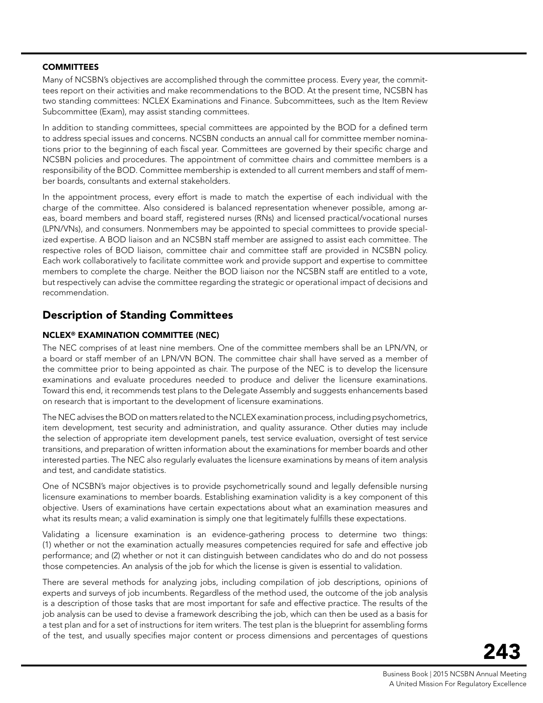#### **COMMITTEES**

Many of NCSBN's objectives are accomplished through the committee process. Every year, the committees report on their activities and make recommendations to the BOD. At the present time, NCSBN has two standing committees: NCLEX Examinations and Finance. Subcommittees, such as the Item Review Subcommittee (Exam), may assist standing committees.

In addition to standing committees, special committees are appointed by the BOD for a defined term to address special issues and concerns. NCSBN conducts an annual call for committee member nominations prior to the beginning of each fiscal year. Committees are governed by their specific charge and NCSBN policies and procedures. The appointment of committee chairs and committee members is a responsibility of the BOD. Committee membership is extended to all current members and staff of member boards, consultants and external stakeholders.

In the appointment process, every effort is made to match the expertise of each individual with the charge of the committee. Also considered is balanced representation whenever possible, among areas, board members and board staff, registered nurses (RNs) and licensed practical/vocational nurses (LPN/VNs), and consumers. Nonmembers may be appointed to special committees to provide specialized expertise. A BOD liaison and an NCSBN staff member are assigned to assist each committee. The respective roles of BOD liaison, committee chair and committee staff are provided in NCSBN policy. Each work collaboratively to facilitate committee work and provide support and expertise to committee members to complete the charge. Neither the BOD liaison nor the NCSBN staff are entitled to a vote, but respectively can advise the committee regarding the strategic or operational impact of decisions and recommendation.

#### Description of Standing Committees

#### NCLEX® EXAMINATION COMMITTEE (NEC)

The NEC comprises of at least nine members. One of the committee members shall be an LPN/VN, or a board or staff member of an LPN/VN BON. The committee chair shall have served as a member of the committee prior to being appointed as chair. The purpose of the NEC is to develop the licensure examinations and evaluate procedures needed to produce and deliver the licensure examinations. Toward this end, it recommends test plans to the Delegate Assembly and suggests enhancements based on research that is important to the development of licensure examinations.

The NEC advises the BOD on matters related to the NCLEX examination process, including psychometrics, item development, test security and administration, and quality assurance. Other duties may include the selection of appropriate item development panels, test service evaluation, oversight of test service transitions, and preparation of written information about the examinations for member boards and other interested parties. The NEC also regularly evaluates the licensure examinations by means of item analysis and test, and candidate statistics.

One of NCSBN's major objectives is to provide psychometrically sound and legally defensible nursing licensure examinations to member boards. Establishing examination validity is a key component of this objective. Users of examinations have certain expectations about what an examination measures and what its results mean; a valid examination is simply one that legitimately fulfills these expectations.

Validating a licensure examination is an evidence-gathering process to determine two things: (1) whether or not the examination actually measures competencies required for safe and effective job performance; and (2) whether or not it can distinguish between candidates who do and do not possess those competencies. An analysis of the job for which the license is given is essential to validation.

There are several methods for analyzing jobs, including compilation of job descriptions, opinions of experts and surveys of job incumbents. Regardless of the method used, the outcome of the job analysis is a description of those tasks that are most important for safe and effective practice. The results of the job analysis can be used to devise a framework describing the job, which can then be used as a basis for a test plan and for a set of instructions for item writers. The test plan is the blueprint for assembling forms of the test, and usually specifies major content or process dimensions and percentages of questions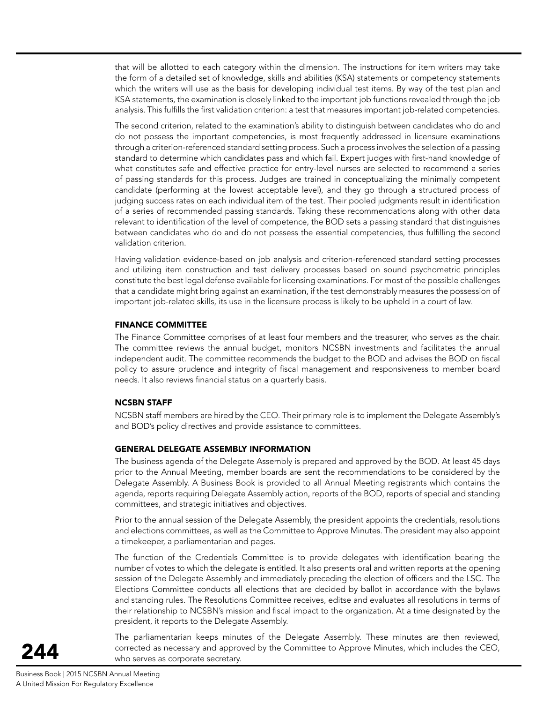that will be allotted to each category within the dimension. The instructions for item writers may take the form of a detailed set of knowledge, skills and abilities (KSA) statements or competency statements which the writers will use as the basis for developing individual test items. By way of the test plan and KSA statements, the examination is closely linked to the important job functions revealed through the job analysis. This fulfills the first validation criterion: a test that measures important job-related competencies.

The second criterion, related to the examination's ability to distinguish between candidates who do and do not possess the important competencies, is most frequently addressed in licensure examinations through a criterion-referenced standard setting process. Such a process involves the selection of a passing standard to determine which candidates pass and which fail. Expert judges with first-hand knowledge of what constitutes safe and effective practice for entry-level nurses are selected to recommend a series of passing standards for this process. Judges are trained in conceptualizing the minimally competent candidate (performing at the lowest acceptable level), and they go through a structured process of judging success rates on each individual item of the test. Their pooled judgments result in identification of a series of recommended passing standards. Taking these recommendations along with other data relevant to identification of the level of competence, the BOD sets a passing standard that distinguishes between candidates who do and do not possess the essential competencies, thus fulfilling the second validation criterion.

Having validation evidence-based on job analysis and criterion-referenced standard setting processes and utilizing item construction and test delivery processes based on sound psychometric principles constitute the best legal defense available for licensing examinations. For most of the possible challenges that a candidate might bring against an examination, if the test demonstrably measures the possession of important job-related skills, its use in the licensure process is likely to be upheld in a court of law.

#### FINANCE COMMITTEE

The Finance Committee comprises of at least four members and the treasurer, who serves as the chair. The committee reviews the annual budget, monitors NCSBN investments and facilitates the annual independent audit. The committee recommends the budget to the BOD and advises the BOD on fiscal policy to assure prudence and integrity of fiscal management and responsiveness to member board needs. It also reviews financial status on a quarterly basis.

#### NCSBN STAFF

NCSBN staff members are hired by the CEO. Their primary role is to implement the Delegate Assembly's and BOD's policy directives and provide assistance to committees.

#### GENERAL DELEGATE ASSEMBLY INFORMATION

The business agenda of the Delegate Assembly is prepared and approved by the BOD. At least 45 days prior to the Annual Meeting, member boards are sent the recommendations to be considered by the Delegate Assembly. A Business Book is provided to all Annual Meeting registrants which contains the agenda, reports requiring Delegate Assembly action, reports of the BOD, reports of special and standing committees, and strategic initiatives and objectives.

Prior to the annual session of the Delegate Assembly, the president appoints the credentials, resolutions and elections committees, as well as the Committee to Approve Minutes. The president may also appoint a timekeeper, a parliamentarian and pages.

The function of the Credentials Committee is to provide delegates with identification bearing the number of votes to which the delegate is entitled. It also presents oral and written reports at the opening session of the Delegate Assembly and immediately preceding the election of officers and the LSC. The Elections Committee conducts all elections that are decided by ballot in accordance with the bylaws and standing rules. The Resolutions Committee receives, editse and evaluates all resolutions in terms of their relationship to NCSBN's mission and fiscal impact to the organization. At a time designated by the president, it reports to the Delegate Assembly.

The parliamentarian keeps minutes of the Delegate Assembly. These minutes are then reviewed, corrected as necessary and approved by the Committee to Approve Minutes, which includes the CEO, who serves as corporate secretary.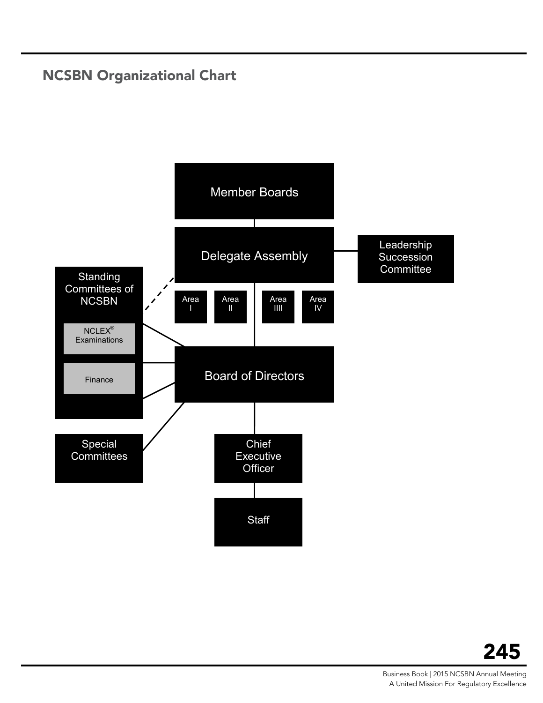# <span id="page-12-0"></span>NCSBN Organizational Chart



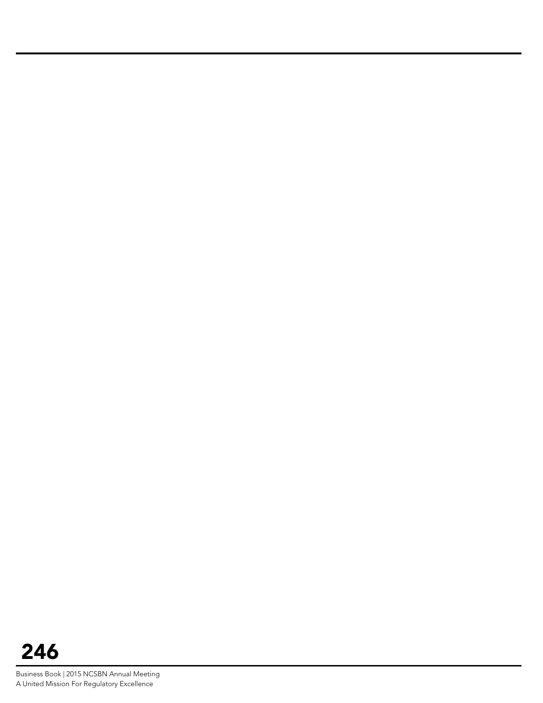#### Business Book | 2015 NCSBN Annual Meeting A United Mission For Regulatory Excellence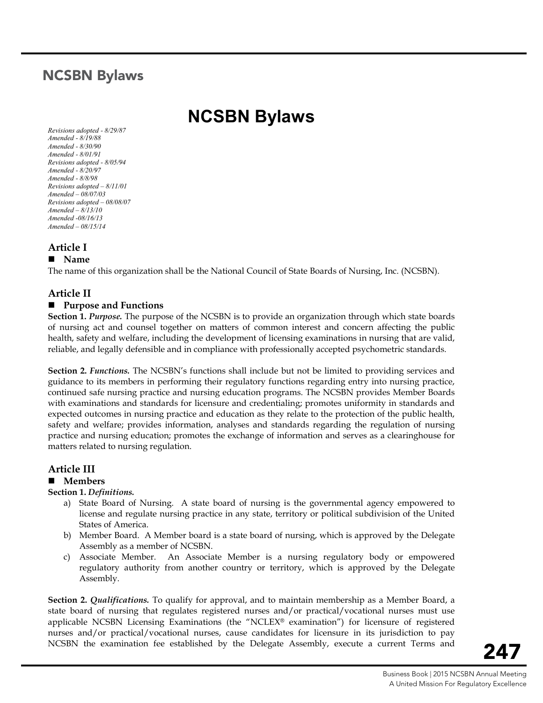# <span id="page-14-0"></span>NCSBN Bylaws

# **NCSBN Bylaws**

*Revisions adopted - 8/29/87 Amended - 8/19/88 Amended - 8/30/90 Amended - 8/01/91 Revisions adopted - 8/05/94 Amended - 8/20/97 Amended - 8/8/98 Revisions adopted – 8/11/01 Amended – 08/07/03 Revisions adopted – 08/08/07 Amended – 8/13/10 Amended -08/16/13 Amended – 08/15/14*

#### **Article I**

#### **Name**

The name of this organization shall be the National Council of State Boards of Nursing, Inc. (NCSBN).

#### **Article II**

#### ■ Purpose and Functions

**Section 1.** *Purpose.* The purpose of the NCSBN is to provide an organization through which state boards of nursing act and counsel together on matters of common interest and concern affecting the public health, safety and welfare, including the development of licensing examinations in nursing that are valid, reliable, and legally defensible and in compliance with professionally accepted psychometric standards.

**Section 2.** *Functions*. The NCSBN's functions shall include but not be limited to providing services and guidance to its members in performing their regulatory functions regarding entry into nursing practice, continued safe nursing practice and nursing education programs. The NCSBN provides Member Boards with examinations and standards for licensure and credentialing; promotes uniformity in standards and expected outcomes in nursing practice and education as they relate to the protection of the public health, safety and welfare; provides information, analyses and standards regarding the regulation of nursing practice and nursing education; promotes the exchange of information and serves as a clearinghouse for matters related to nursing regulation.

#### **Article III**

#### **Members**

#### **Section 1.** *Definitions.*

- a) State Board of Nursing. A state board of nursing is the governmental agency empowered to license and regulate nursing practice in any state, territory or political subdivision of the United States of America.
- b) Member Board. A Member board is a state board of nursing, which is approved by the Delegate Assembly as a member of NCSBN.
- c) Associate Member. An Associate Member is a nursing regulatory body or empowered regulatory authority from another country or territory, which is approved by the Delegate Assembly.

**Section 2.** *Qualifications.* To qualify for approval, and to maintain membership as a Member Board, a state board of nursing that regulates registered nurses and/or practical/vocational nurses must use applicable NCSBN Licensing Examinations (the "NCLEX® examination") for licensure of registered nurses and/or practical/vocational nurses, cause candidates for licensure in its jurisdiction to pay NCSBN the examination fee established by the Delegate Assembly, execute a current Terms and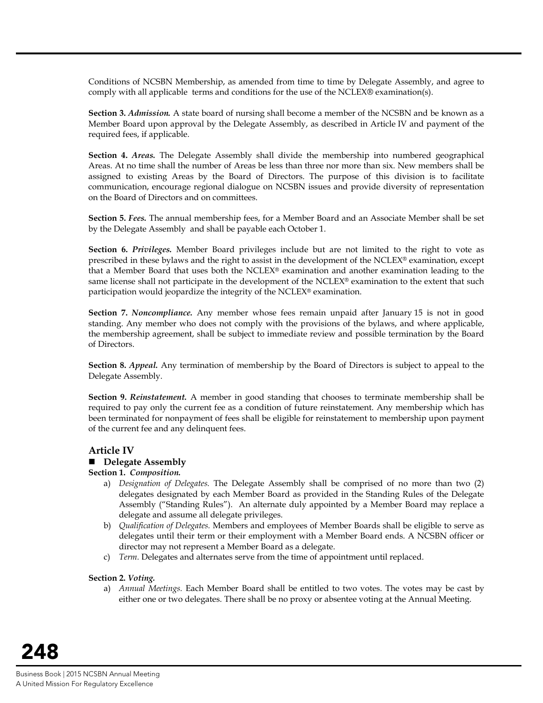Conditions of NCSBN Membership, as amended from time to time by Delegate Assembly, and agree to comply with all applicable terms and conditions for the use of the NCLEX® examination(s).

**Section 3.** *Admission.* A state board of nursing shall become a member of the NCSBN and be known as a Member Board upon approval by the Delegate Assembly, as described in Article IV and payment of the required fees, if applicable.

**Section 4.** *Areas.* The Delegate Assembly shall divide the membership into numbered geographical Areas. At no time shall the number of Areas be less than three nor more than six. New members shall be assigned to existing Areas by the Board of Directors. The purpose of this division is to facilitate communication, encourage regional dialogue on NCSBN issues and provide diversity of representation on the Board of Directors and on committees.

**Section 5.** *Fees.* The annual membership fees, for a Member Board and an Associate Member shall be set by the Delegate Assembly and shall be payable each October 1.

**Section 6.** *Privileges.* Member Board privileges include but are not limited to the right to vote as prescribed in these bylaws and the right to assist in the development of the NCLEX® examination, except that a Member Board that uses both the NCLEX® examination and another examination leading to the same license shall not participate in the development of the NCLEX® examination to the extent that such participation would jeopardize the integrity of the NCLEX® examination.

**Section 7.** *Noncompliance.* Any member whose fees remain unpaid after January 15 is not in good standing. Any member who does not comply with the provisions of the bylaws, and where applicable, the membership agreement, shall be subject to immediate review and possible termination by the Board of Directors.

**Section 8.** *Appeal.* Any termination of membership by the Board of Directors is subject to appeal to the Delegate Assembly.

**Section 9.** *Reinstatement.* A member in good standing that chooses to terminate membership shall be required to pay only the current fee as a condition of future reinstatement. Any membership which has been terminated for nonpayment of fees shall be eligible for reinstatement to membership upon payment of the current fee and any delinquent fees.

#### **Article IV**

#### ■ Delegate Assembly

#### **Section 1.** *Composition.*

- a) *Designation of Delegates.* The Delegate Assembly shall be comprised of no more than two (2) delegates designated by each Member Board as provided in the Standing Rules of the Delegate Assembly ("Standing Rules"). An alternate duly appointed by a Member Board may replace a delegate and assume all delegate privileges.
- b) *Qualification of Delegates.* Members and employees of Member Boards shall be eligible to serve as delegates until their term or their employment with a Member Board ends. A NCSBN officer or director may not represent a Member Board as a delegate.
- c) *Term.* Delegates and alternates serve from the time of appointment until replaced.

#### **Section 2.** *Voting.*

a) *Annual Meetings.* Each Member Board shall be entitled to two votes. The votes may be cast by either one or two delegates. There shall be no proxy or absentee voting at the Annual Meeting.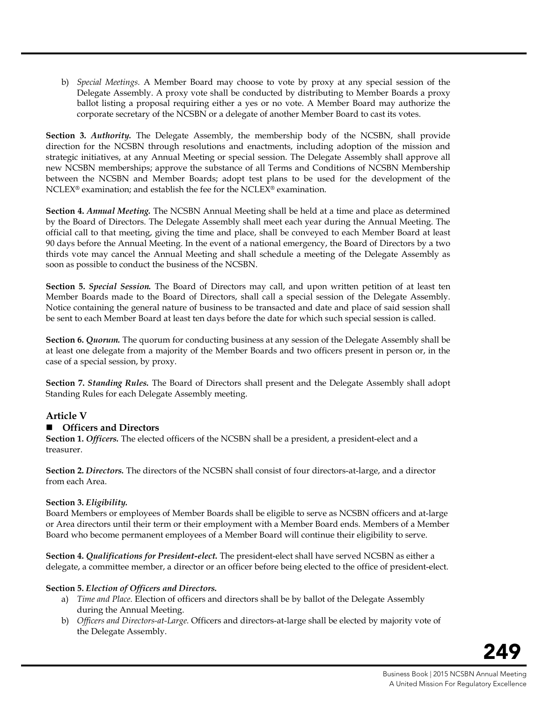b) *Special Meetings.* A Member Board may choose to vote by proxy at any special session of the Delegate Assembly. A proxy vote shall be conducted by distributing to Member Boards a proxy ballot listing a proposal requiring either a yes or no vote. A Member Board may authorize the corporate secretary of the NCSBN or a delegate of another Member Board to cast its votes.

**Section 3.** *Authority.* The Delegate Assembly, the membership body of the NCSBN, shall provide direction for the NCSBN through resolutions and enactments, including adoption of the mission and strategic initiatives, at any Annual Meeting or special session. The Delegate Assembly shall approve all new NCSBN memberships; approve the substance of all Terms and Conditions of NCSBN Membership between the NCSBN and Member Boards; adopt test plans to be used for the development of the NCLEX® examination; and establish the fee for the NCLEX® examination.

**Section 4.** *Annual Meeting.* The NCSBN Annual Meeting shall be held at a time and place as determined by the Board of Directors. The Delegate Assembly shall meet each year during the Annual Meeting. The official call to that meeting, giving the time and place, shall be conveyed to each Member Board at least 90 days before the Annual Meeting. In the event of a national emergency, the Board of Directors by a two thirds vote may cancel the Annual Meeting and shall schedule a meeting of the Delegate Assembly as soon as possible to conduct the business of the NCSBN.

**Section 5.** *Special Session.* The Board of Directors may call, and upon written petition of at least ten Member Boards made to the Board of Directors, shall call a special session of the Delegate Assembly. Notice containing the general nature of business to be transacted and date and place of said session shall be sent to each Member Board at least ten days before the date for which such special session is called.

**Section 6.** *Quorum.* The quorum for conducting business at any session of the Delegate Assembly shall be at least one delegate from a majority of the Member Boards and two officers present in person or, in the case of a special session, by proxy.

**Section 7.** *Standing Rules.* The Board of Directors shall present and the Delegate Assembly shall adopt Standing Rules for each Delegate Assembly meeting.

#### **Article V**

#### ■ Officers and Directors

**Section 1.** *Officers.* The elected officers of the NCSBN shall be a president, a president-elect and a treasurer.

**Section 2.** *Directors.* The directors of the NCSBN shall consist of four directors-at-large, and a director from each Area.

#### **Section 3.** *Eligibility.*

Board Members or employees of Member Boards shall be eligible to serve as NCSBN officers and at-large or Area directors until their term or their employment with a Member Board ends. Members of a Member Board who become permanent employees of a Member Board will continue their eligibility to serve.

**Section 4.** *Qualifications for President-elect.* The president-elect shall have served NCSBN as either a delegate, a committee member, a director or an officer before being elected to the office of president-elect.

#### **Section 5.** *Election of Officers and Directors.*

- a) *Time and Place.* Election of officers and directors shall be by ballot of the Delegate Assembly during the Annual Meeting.
- b) *Officers and Directors-at-Large.* Officers and directors-at-large shall be elected by majority vote of the Delegate Assembly.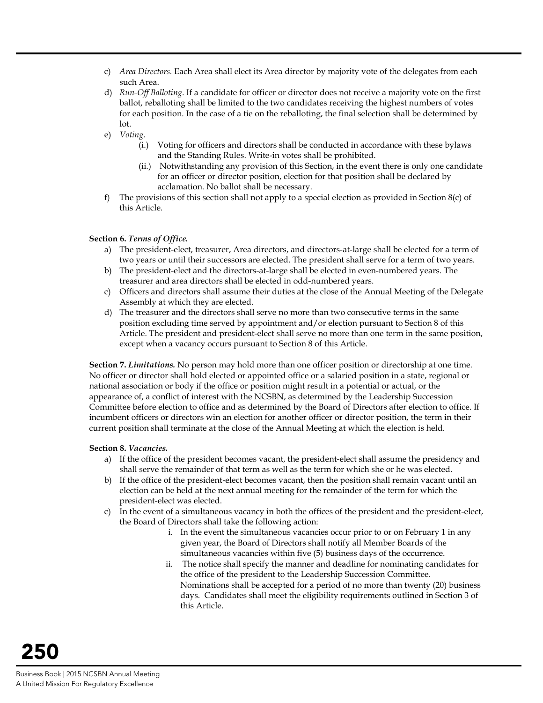- c) *Area Directors.* Each Area shall elect its Area director by majority vote of the delegates from each such Area.
- d) *Run-Off Balloting*. If a candidate for officer or director does not receive a majority vote on the first ballot, reballoting shall be limited to the two candidates receiving the highest numbers of votes for each position. In the case of a tie on the reballoting, the final selection shall be determined by lot.
- e) *Voting.*
	- (i.) Voting for officers and directors shall be conducted in accordance with these bylaws and the Standing Rules. Write-in votes shall be prohibited.
	- (ii.) Notwithstanding any provision of this Section, in the event there is only one candidate for an officer or director position, election for that position shall be declared by acclamation. No ballot shall be necessary.
- f) The provisions of this section shall not apply to a special election as provided in Section 8(c) of this Article.

#### **Section 6.** *Terms of Office.*

- a) The president-elect, treasurer, Area directors, and directors-at-large shall be elected for a term of two years or until their successors are elected. The president shall serve for a term of two years.
- b) The president-elect and the directors-at-large shall be elected in even-numbered years. The treasurer and area directors shall be elected in odd-numbered years.
- c) Officers and directors shall assume their duties at the close of the Annual Meeting of the Delegate Assembly at which they are elected.
- d) The treasurer and the directors shall serve no more than two consecutive terms in the same position excluding time served by appointment and/or election pursuant to Section 8 of this Article. The president and president-elect shall serve no more than one term in the same position, except when a vacancy occurs pursuant to Section 8 of this Article.

**Section 7.** *Limitations.* No person may hold more than one officer position or directorship at one time. No officer or director shall hold elected or appointed office or a salaried position in a state, regional or national association or body if the office or position might result in a potential or actual, or the appearance of, a conflict of interest with the NCSBN, as determined by the Leadership Succession Committee before election to office and as determined by the Board of Directors after election to office. If incumbent officers or directors win an election for another officer or director position, the term in their current position shall terminate at the close of the Annual Meeting at which the election is held.

#### **Section 8.** *Vacancies.*

- a) If the office of the president becomes vacant, the president-elect shall assume the presidency and shall serve the remainder of that term as well as the term for which she or he was elected.
- b) If the office of the president-elect becomes vacant, then the position shall remain vacant until an election can be held at the next annual meeting for the remainder of the term for which the president-elect was elected.
- c) In the event of a simultaneous vacancy in both the offices of the president and the president-elect, the Board of Directors shall take the following action:
	- i. In the event the simultaneous vacancies occur prior to or on February 1 in any given year, the Board of Directors shall notify all Member Boards of the simultaneous vacancies within five (5) business days of the occurrence.
	- ii. The notice shall specify the manner and deadline for nominating candidates for the office of the president to the Leadership Succession Committee. Nominations shall be accepted for a period of no more than twenty (20) business days. Candidates shall meet the eligibility requirements outlined in Section 3 of this Article.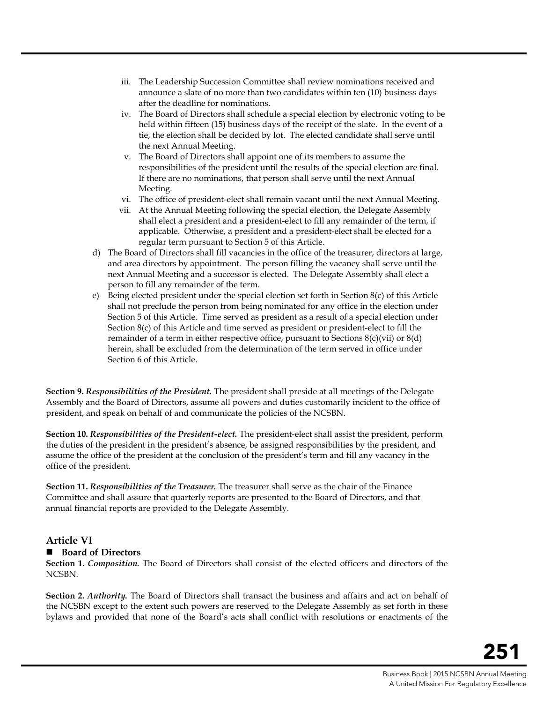- iii. The Leadership Succession Committee shall review nominations received and announce a slate of no more than two candidates within ten (10) business days after the deadline for nominations.
- iv. The Board of Directors shall schedule a special election by electronic voting to be held within fifteen (15) business days of the receipt of the slate. In the event of a tie, the election shall be decided by lot. The elected candidate shall serve until the next Annual Meeting.
- v. The Board of Directors shall appoint one of its members to assume the responsibilities of the president until the results of the special election are final. If there are no nominations, that person shall serve until the next Annual Meeting.
- vi. The office of president-elect shall remain vacant until the next Annual Meeting.
- vii. At the Annual Meeting following the special election, the Delegate Assembly shall elect a president and a president-elect to fill any remainder of the term, if applicable. Otherwise, a president and a president-elect shall be elected for a regular term pursuant to Section 5 of this Article.
- d) The Board of Directors shall fill vacancies in the office of the treasurer, directors at large, and area directors by appointment. The person filling the vacancy shall serve until the next Annual Meeting and a successor is elected. The Delegate Assembly shall elect a person to fill any remainder of the term.
- e) Being elected president under the special election set forth in Section 8(c) of this Article shall not preclude the person from being nominated for any office in the election under Section 5 of this Article. Time served as president as a result of a special election under Section  $8(c)$  of this Article and time served as president or president-elect to fill the remainder of a term in either respective office, pursuant to Sections  $8(c)(vi)$  or  $8(d)$ herein, shall be excluded from the determination of the term served in office under Section 6 of this Article.

**Section 9.** *Responsibilities of the President.* The president shall preside at all meetings of the Delegate Assembly and the Board of Directors, assume all powers and duties customarily incident to the office of president, and speak on behalf of and communicate the policies of the NCSBN.

**Section 10.** *Responsibilities of the President-elect.* The president-elect shall assist the president, perform the duties of the president in the president's absence, be assigned responsibilities by the president, and assume the office of the president at the conclusion of the president's term and fill any vacancy in the office of the president.

**Section 11.** *Responsibilities of the Treasurer.* The treasurer shall serve as the chair of the Finance Committee and shall assure that quarterly reports are presented to the Board of Directors, and that annual financial reports are provided to the Delegate Assembly.

#### **Article VI**

#### ■ Board of Directors

**Section 1.** *Composition.* The Board of Directors shall consist of the elected officers and directors of the NCSBN.

**Section 2.** *Authority.* The Board of Directors shall transact the business and affairs and act on behalf of the NCSBN except to the extent such powers are reserved to the Delegate Assembly as set forth in these bylaws and provided that none of the Board's acts shall conflict with resolutions or enactments of the

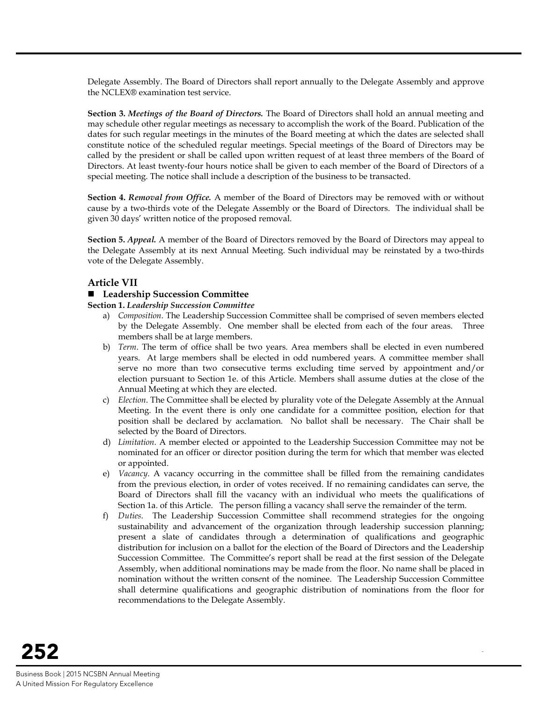Delegate Assembly. The Board of Directors shall report annually to the Delegate Assembly and approve the NCLEX® examination test service.

**Section 3.** *Meetings of the Board of Directors.* The Board of Directors shall hold an annual meeting and may schedule other regular meetings as necessary to accomplish the work of the Board. Publication of the dates for such regular meetings in the minutes of the Board meeting at which the dates are selected shall constitute notice of the scheduled regular meetings. Special meetings of the Board of Directors may be called by the president or shall be called upon written request of at least three members of the Board of Directors. At least twenty-four hours notice shall be given to each member of the Board of Directors of a special meeting. The notice shall include a description of the business to be transacted.

**Section 4.** *Removal from Office.* A member of the Board of Directors may be removed with or without cause by a two-thirds vote of the Delegate Assembly or the Board of Directors. The individual shall be given 30 days' written notice of the proposed removal.

**Section 5.** *Appeal.* A member of the Board of Directors removed by the Board of Directors may appeal to the Delegate Assembly at its next Annual Meeting. Such individual may be reinstated by a two-thirds vote of the Delegate Assembly.

#### **Article VII**

#### ■ Leadership Succession Committee

**Section 1.** *Leadership Succession Committee*

- a) *Composition*. The Leadership Succession Committee shall be comprised of seven members elected by the Delegate Assembly. One member shall be elected from each of the four areas. Three members shall be at large members.
- b) *Term*. The term of office shall be two years. Area members shall be elected in even numbered years. At large members shall be elected in odd numbered years. A committee member shall serve no more than two consecutive terms excluding time served by appointment and/or election pursuant to Section 1e. of this Article. Members shall assume duties at the close of the Annual Meeting at which they are elected.
- c) *Election*. The Committee shall be elected by plurality vote of the Delegate Assembly at the Annual Meeting. In the event there is only one candidate for a committee position, election for that position shall be declared by acclamation. No ballot shall be necessary. The Chair shall be selected by the Board of Directors.
- d) *Limitation*. A member elected or appointed to the Leadership Succession Committee may not be nominated for an officer or director position during the term for which that member was elected or appointed.
- e) *Vacancy*. A vacancy occurring in the committee shall be filled from the remaining candidates from the previous election, in order of votes received. If no remaining candidates can serve, the Board of Directors shall fill the vacancy with an individual who meets the qualifications of Section 1a. of this Article. The person filling a vacancy shall serve the remainder of the term.
- f) *Duties*. The Leadership Succession Committee shall recommend strategies for the ongoing sustainability and advancement of the organization through leadership succession planning; present a slate of candidates through a determination of qualifications and geographic distribution for inclusion on a ballot for the election of the Board of Directors and the Leadership Succession Committee. The Committee's report shall be read at the first session of the Delegate Assembly, when additional nominations may be made from the floor. No name shall be placed in nomination without the written cons*e*nt of the nominee. The Leadership Succession Committee shall determine qualifications and geographic distribution of nominations from the floor for recommendations to the Delegate Assembly.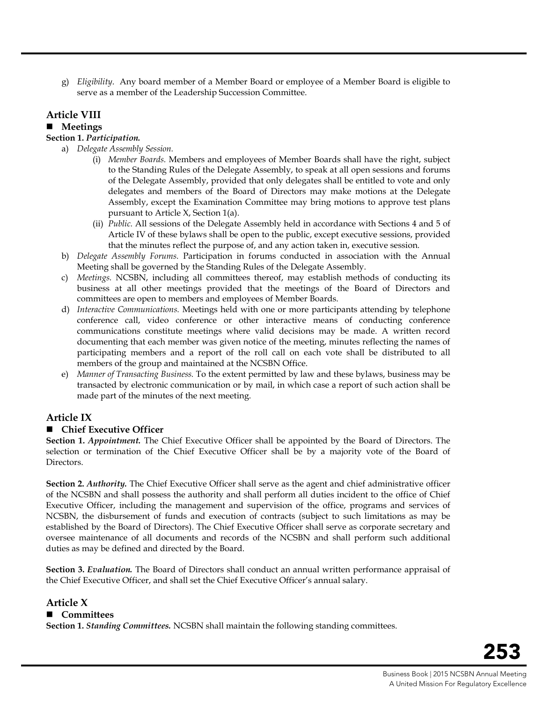g) *Eligibility*. Any board member of a Member Board or employee of a Member Board is eligible to serve as a member of the Leadership Succession Committee.

#### **Article VIII**

#### **Meetings**

#### **Section 1.** *Participation.*

- a) *Delegate Assembly Session.*
	- (i) *Member Boards.* Members and employees of Member Boards shall have the right, subject to the Standing Rules of the Delegate Assembly, to speak at all open sessions and forums of the Delegate Assembly, provided that only delegates shall be entitled to vote and only delegates and members of the Board of Directors may make motions at the Delegate Assembly, except the Examination Committee may bring motions to approve test plans pursuant to Article X, Section 1(a).
	- (ii) *Public.* All sessions of the Delegate Assembly held in accordance with Sections 4 and 5 of Article IV of these bylaws shall be open to the public, except executive sessions, provided that the minutes reflect the purpose of, and any action taken in, executive session.
- b) *Delegate Assembly Forums.* Participation in forums conducted in association with the Annual Meeting shall be governed by the Standing Rules of the Delegate Assembly.
- c) *Meetings.* NCSBN, including all committees thereof, may establish methods of conducting its business at all other meetings provided that the meetings of the Board of Directors and committees are open to members and employees of Member Boards.
- d) *Interactive Communications.* Meetings held with one or more participants attending by telephone conference call, video conference or other interactive means of conducting conference communications constitute meetings where valid decisions may be made. A written record documenting that each member was given notice of the meeting, minutes reflecting the names of participating members and a report of the roll call on each vote shall be distributed to all members of the group and maintained at the NCSBN Office.
- e) *Manner of Transacting Business.* To the extent permitted by law and these bylaws, business may be transacted by electronic communication or by mail, in which case a report of such action shall be made part of the minutes of the next meeting.

#### **Article IX**

#### ■ Chief Executive Officer

**Section 1.** *Appointment.* The Chief Executive Officer shall be appointed by the Board of Directors. The selection or termination of the Chief Executive Officer shall be by a majority vote of the Board of Directors.

**Section 2.** *Authority.* The Chief Executive Officer shall serve as the agent and chief administrative officer of the NCSBN and shall possess the authority and shall perform all duties incident to the office of Chief Executive Officer, including the management and supervision of the office, programs and services of NCSBN, the disbursement of funds and execution of contracts (subject to such limitations as may be established by the Board of Directors). The Chief Executive Officer shall serve as corporate secretary and oversee maintenance of all documents and records of the NCSBN and shall perform such additional duties as may be defined and directed by the Board.

**Section 3.** *Evaluation.* The Board of Directors shall conduct an annual written performance appraisal of the Chief Executive Officer, and shall set the Chief Executive Officer's annual salary.

#### **Article X**

#### **Committees**

**Section 1.** *Standing Committees.* NCSBN shall maintain the following standing committees.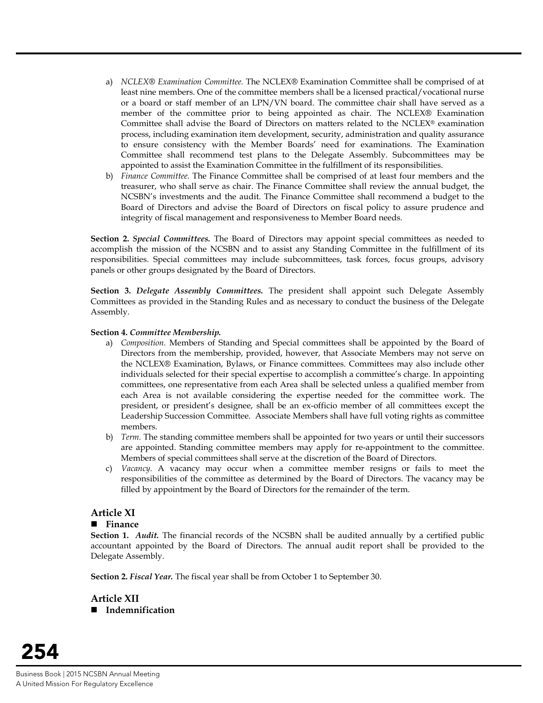- a) *NCLEX® Examination Committee.* The NCLEX® Examination Committee shall be comprised of at least nine members. One of the committee members shall be a licensed practical/vocational nurse or a board or staff member of an LPN/VN board. The committee chair shall have served as a member of the committee prior to being appointed as chair. The NCLEX® Examination Committee shall advise the Board of Directors on matters related to the NCLEX® examination process, including examination item development, security, administration and quality assurance to ensure consistency with the Member Boards' need for examinations. The Examination Committee shall recommend test plans to the Delegate Assembly. Subcommittees may be appointed to assist the Examination Committee in the fulfillment of its responsibilities.
- b) *Finance Committee.* The Finance Committee shall be comprised of at least four members and the treasurer, who shall serve as chair. The Finance Committee shall review the annual budget, the NCSBN's investments and the audit. The Finance Committee shall recommend a budget to the Board of Directors and advise the Board of Directors on fiscal policy to assure prudence and integrity of fiscal management and responsiveness to Member Board needs.

**Section 2.** *Special Committees.* The Board of Directors may appoint special committees as needed to accomplish the mission of the NCSBN and to assist any Standing Committee in the fulfillment of its responsibilities. Special committees may include subcommittees, task forces, focus groups, advisory panels or other groups designated by the Board of Directors.

**Section 3.** *Delegate Assembly Committees.* The president shall appoint such Delegate Assembly Committees as provided in the Standing Rules and as necessary to conduct the business of the Delegate Assembly.

#### **Section 4.** *Committee Membership.*

- a) *Composition.* Members of Standing and Special committees shall be appointed by the Board of Directors from the membership, provided, however, that Associate Members may not serve on the NCLEX® Examination, Bylaws, or Finance committees. Committees may also include other individuals selected for their special expertise to accomplish a committee's charge. In appointing committees, one representative from each Area shall be selected unless a qualified member from each Area is not available considering the expertise needed for the committee work. The president, or president's designee, shall be an ex-officio member of all committees except the Leadership Succession Committee. Associate Members shall have full voting rights as committee members.
- b) *Term.* The standing committee members shall be appointed for two years or until their successors are appointed. Standing committee members may apply for re-appointment to the committee. Members of special committees shall serve at the discretion of the Board of Directors.
- c) *Vacancy.* A vacancy may occur when a committee member resigns or fails to meet the responsibilities of the committee as determined by the Board of Directors. The vacancy may be filled by appointment by the Board of Directors for the remainder of the term.

#### **Article XI**

#### **Finance**

**Section 1.** *Audit.* The financial records of the NCSBN shall be audited annually by a certified public accountant appointed by the Board of Directors. The annual audit report shall be provided to the Delegate Assembly.

**Section 2.** *Fiscal Year.* The fiscal year shall be from October 1 to September 30.

**Article XII Indemnification**

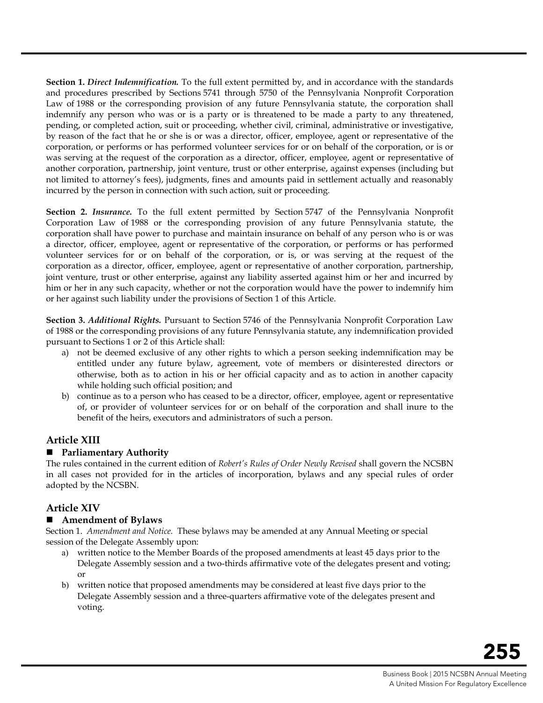**Section 1.** *Direct Indemnification.* To the full extent permitted by, and in accordance with the standards and procedures prescribed by Sections 5741 through 5750 of the Pennsylvania Nonprofit Corporation Law of 1988 or the corresponding provision of any future Pennsylvania statute, the corporation shall indemnify any person who was or is a party or is threatened to be made a party to any threatened, pending, or completed action, suit or proceeding, whether civil, criminal, administrative or investigative, by reason of the fact that he or she is or was a director, officer, employee, agent or representative of the corporation, or performs or has performed volunteer services for or on behalf of the corporation, or is or was serving at the request of the corporation as a director, officer, employee, agent or representative of another corporation, partnership, joint venture, trust or other enterprise, against expenses (including but not limited to attorney's fees), judgments, fines and amounts paid in settlement actually and reasonably incurred by the person in connection with such action, suit or proceeding.

**Section 2.** *Insurance.* To the full extent permitted by Section 5747 of the Pennsylvania Nonprofit Corporation Law of 1988 or the corresponding provision of any future Pennsylvania statute, the corporation shall have power to purchase and maintain insurance on behalf of any person who is or was a director, officer, employee, agent or representative of the corporation, or performs or has performed volunteer services for or on behalf of the corporation, or is, or was serving at the request of the corporation as a director, officer, employee, agent or representative of another corporation, partnership, joint venture, trust or other enterprise, against any liability asserted against him or her and incurred by him or her in any such capacity, whether or not the corporation would have the power to indemnify him or her against such liability under the provisions of Section 1 of this Article.

**Section 3.** *Additional Rights.* Pursuant to Section 5746 of the Pennsylvania Nonprofit Corporation Law of 1988 or the corresponding provisions of any future Pennsylvania statute, any indemnification provided pursuant to Sections 1 or 2 of this Article shall:

- a) not be deemed exclusive of any other rights to which a person seeking indemnification may be entitled under any future bylaw, agreement, vote of members or disinterested directors or otherwise, both as to action in his or her official capacity and as to action in another capacity while holding such official position; and
- b) continue as to a person who has ceased to be a director, officer, employee, agent or representative of, or provider of volunteer services for or on behalf of the corporation and shall inure to the benefit of the heirs, executors and administrators of such a person.

#### **Article XIII**

#### **Parliamentary Authority**

The rules contained in the current edition of *Robert's Rules of Order Newly Revised* shall govern the NCSBN in all cases not provided for in the articles of incorporation, bylaws and any special rules of order adopted by the NCSBN.

#### **Article XIV**

#### **Amendment of Bylaws**

Section 1. *Amendment and Notice.* These bylaws may be amended at any Annual Meeting or special session of the Delegate Assembly upon:

- a) written notice to the Member Boards of the proposed amendments at least 45 days prior to the Delegate Assembly session and a two-thirds affirmative vote of the delegates present and voting; or
- b) written notice that proposed amendments may be considered at least five days prior to the Delegate Assembly session and a three-quarters affirmative vote of the delegates present and voting.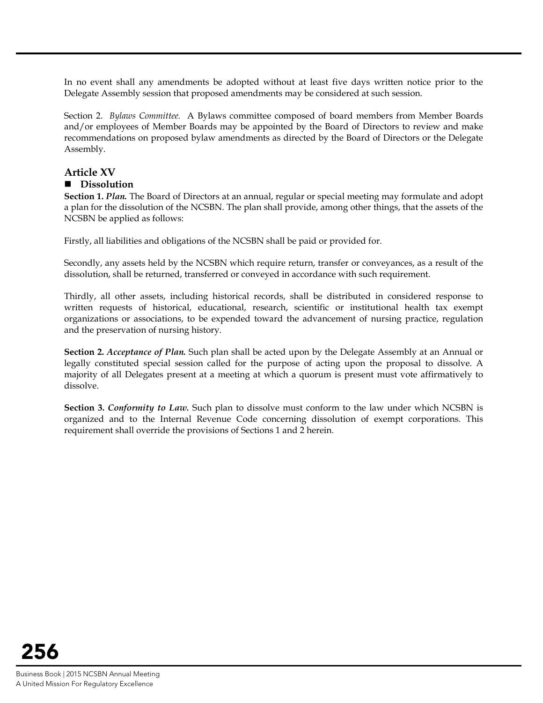In no event shall any amendments be adopted without at least five days written notice prior to the Delegate Assembly session that proposed amendments may be considered at such session.

Section 2. *Bylaws Committee.* A Bylaws committee composed of board members from Member Boards and/or employees of Member Boards may be appointed by the Board of Directors to review and make recommendations on proposed bylaw amendments as directed by the Board of Directors or the Delegate Assembly.

#### **Article XV**

#### **Dissolution**

**Section 1.** *Plan.* The Board of Directors at an annual, regular or special meeting may formulate and adopt a plan for the dissolution of the NCSBN. The plan shall provide, among other things, that the assets of the NCSBN be applied as follows:

Firstly, all liabilities and obligations of the NCSBN shall be paid or provided for.

Secondly, any assets held by the NCSBN which require return, transfer or conveyances, as a result of the dissolution, shall be returned, transferred or conveyed in accordance with such requirement.

Thirdly, all other assets, including historical records, shall be distributed in considered response to written requests of historical, educational, research, scientific or institutional health tax exempt organizations or associations, to be expended toward the advancement of nursing practice, regulation and the preservation of nursing history.

**Section 2.** *Acceptance of Plan.* Such plan shall be acted upon by the Delegate Assembly at an Annual or legally constituted special session called for the purpose of acting upon the proposal to dissolve. A majority of all Delegates present at a meeting at which a quorum is present must vote affirmatively to dissolve.

**Section 3.** *Conformity to Law.* Such plan to dissolve must conform to the law under which NCSBN is organized and to the Internal Revenue Code concerning dissolution of exempt corporations. This requirement shall override the provisions of Sections 1 and 2 herein.